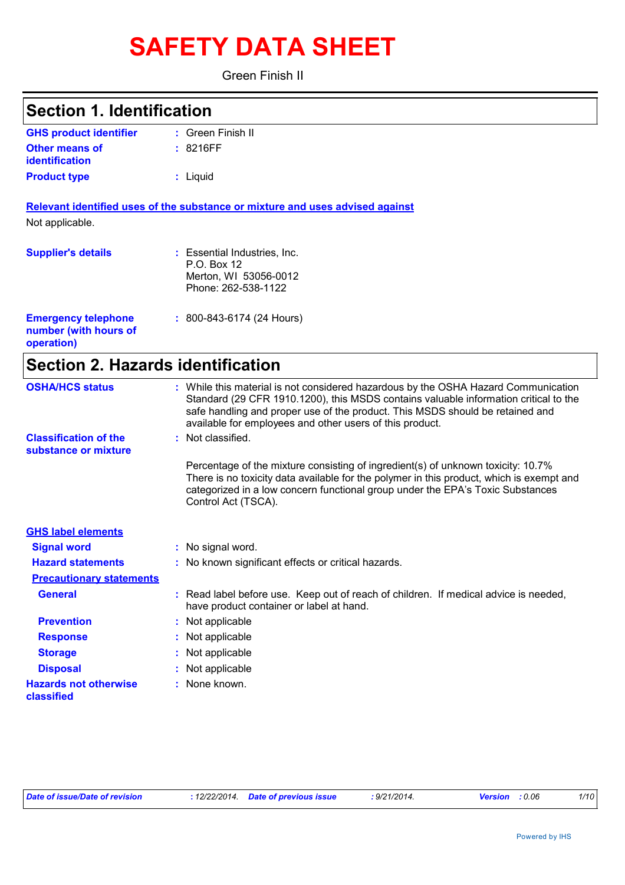# **SAFETY DATA SHEET**

Green Finish II

| <b>Section 1. Identification</b>                                  |                                                                                                                                                                                                                                                                                                                         |
|-------------------------------------------------------------------|-------------------------------------------------------------------------------------------------------------------------------------------------------------------------------------------------------------------------------------------------------------------------------------------------------------------------|
| <b>GHS product identifier</b>                                     | : Green Finish II                                                                                                                                                                                                                                                                                                       |
| <b>Other means of</b><br><b>identification</b>                    | : 8216FF                                                                                                                                                                                                                                                                                                                |
| <b>Product type</b>                                               | : Liquid                                                                                                                                                                                                                                                                                                                |
|                                                                   | Relevant identified uses of the substance or mixture and uses advised against                                                                                                                                                                                                                                           |
| Not applicable.                                                   |                                                                                                                                                                                                                                                                                                                         |
| <b>Supplier's details</b>                                         | : Essential Industries, Inc.<br>P.O. Box 12<br>Merton, WI 53056-0012<br>Phone: 262-538-1122                                                                                                                                                                                                                             |
| <b>Emergency telephone</b><br>number (with hours of<br>operation) | $: 800 - 843 - 6174$ (24 Hours)                                                                                                                                                                                                                                                                                         |
| <b>Section 2. Hazards identification</b>                          |                                                                                                                                                                                                                                                                                                                         |
| <b>OSHA/HCS status</b>                                            | : While this material is not considered hazardous by the OSHA Hazard Communication<br>Standard (29 CFR 1910.1200), this MSDS contains valuable information critical to the<br>safe handling and proper use of the product. This MSDS should be retained and<br>available for employees and other users of this product. |
| <b>Classification of the</b><br>substance or mixture              | : Not classified.                                                                                                                                                                                                                                                                                                       |
|                                                                   | Percentage of the mixture consisting of ingredient(s) of unknown toxicity: 10.7%<br>There is no toxicity data available for the polymer in this product, which is exempt and<br>categorized in a low concern functional group under the EPA's Toxic Substances<br>Control Act (TSCA).                                   |
| <b>GHS label elements</b>                                         |                                                                                                                                                                                                                                                                                                                         |
| <b>Signal word</b>                                                | : No signal word.                                                                                                                                                                                                                                                                                                       |
| <b>Hazard statements</b>                                          | : No known significant effects or critical hazards.                                                                                                                                                                                                                                                                     |
| <b>Precautionary statements</b>                                   |                                                                                                                                                                                                                                                                                                                         |
| <b>General</b>                                                    | : Read label before use. Keep out of reach of children. If medical advice is needed,<br>have product container or label at hand.                                                                                                                                                                                        |
| <b>Prevention</b>                                                 | Not applicable                                                                                                                                                                                                                                                                                                          |
| <b>Response</b>                                                   | Not applicable                                                                                                                                                                                                                                                                                                          |
| <b>Storage</b>                                                    | Not applicable                                                                                                                                                                                                                                                                                                          |
| <b>Disposal</b>                                                   | Not applicable                                                                                                                                                                                                                                                                                                          |
| <b>Hazards not otherwise</b><br>classified                        | None known.                                                                                                                                                                                                                                                                                                             |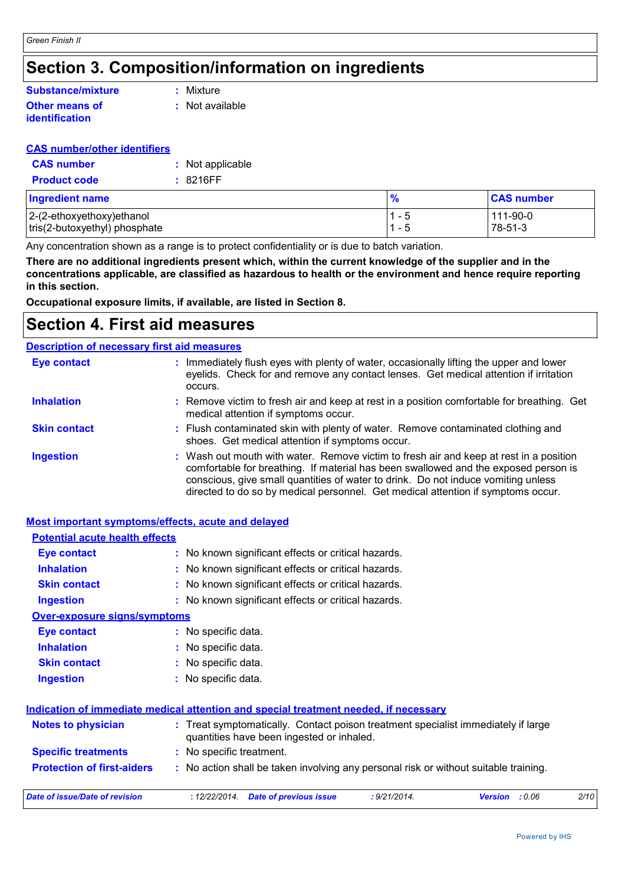### **Section 3. Composition/information on ingredients**

#### **Other means of identification Substance/mixture**

**:** Mixture

**:** Not available

#### **CAS number/other identifiers**

| <b>CAS</b> number   | : Not applicable |
|---------------------|------------------|
| <b>Product code</b> | : 8216FF         |

| <b>Ingredient name</b>        | $\frac{9}{6}$ | <b>CAS number</b> |
|-------------------------------|---------------|-------------------|
| $ 2-(2-ethoxyethoxy)$ ethanol | ገ _ ካ         | 111-90-0          |
| tris(2-butoxyethyl) phosphate | 1 - 5         | 78-51-3           |

Any concentration shown as a range is to protect confidentiality or is due to batch variation.

**There are no additional ingredients present which, within the current knowledge of the supplier and in the concentrations applicable, are classified as hazardous to health or the environment and hence require reporting in this section.**

**Occupational exposure limits, if available, are listed in Section 8.**

### **Section 4. First aid measures**

#### Wash out mouth with water. Remove victim to fresh air and keep at rest in a position comfortable for breathing. If material has been swallowed and the exposed person is conscious, give small quantities of water to drink. Do not induce vomiting unless directed to do so by medical personnel. Get medical attention if symptoms occur. **:** Immediately flush eyes with plenty of water, occasionally lifting the upper and lower eyelids. Check for and remove any contact lenses. Get medical attention if irritation occurs. Flush contaminated skin with plenty of water. Remove contaminated clothing and **:** shoes. Get medical attention if symptoms occur. Remove victim to fresh air and keep at rest in a position comfortable for breathing. Get **:** medical attention if symptoms occur. **Eye contact Skin contact Inhalation Ingestion : Description of necessary first aid measures**

#### **Most important symptoms/effects, acute and delayed**

| <b>Potential acute health effects</b>                                                                                                                       |                                                                                                    |  |  |  |
|-------------------------------------------------------------------------------------------------------------------------------------------------------------|----------------------------------------------------------------------------------------------------|--|--|--|
| <b>Eye contact</b>                                                                                                                                          | : No known significant effects or critical hazards.                                                |  |  |  |
| <b>Inhalation</b>                                                                                                                                           | : No known significant effects or critical hazards.                                                |  |  |  |
| <b>Skin contact</b>                                                                                                                                         | : No known significant effects or critical hazards.                                                |  |  |  |
| <b>Ingestion</b>                                                                                                                                            | : No known significant effects or critical hazards.                                                |  |  |  |
| <b>Over-exposure signs/symptoms</b>                                                                                                                         |                                                                                                    |  |  |  |
| Eye contact                                                                                                                                                 | : No specific data.                                                                                |  |  |  |
| <b>Inhalation</b>                                                                                                                                           | : No specific data.                                                                                |  |  |  |
| <b>Skin contact</b>                                                                                                                                         | : No specific data.                                                                                |  |  |  |
| <b>Ingestion</b>                                                                                                                                            | : No specific data.                                                                                |  |  |  |
|                                                                                                                                                             | Indication of immediate medical attention and special treatment needed, if necessary               |  |  |  |
| <b>Notes to physician</b><br>: Treat symptomatically. Contact poison treatment specialist immediately if large<br>quantities have been ingested or inhaled. |                                                                                                    |  |  |  |
| <b>Specific treatments</b>                                                                                                                                  | : No specific treatment.                                                                           |  |  |  |
| <b>Protection of first-aiders</b>                                                                                                                           | : No action shall be taken involving any personal risk or without suitable training.               |  |  |  |
| <b>Date of issue/Date of revision</b>                                                                                                                       | : 9/21/2014.<br>2/10<br>: 12/22/2014.<br><b>Date of previous issue</b><br>: 0.06<br><b>Version</b> |  |  |  |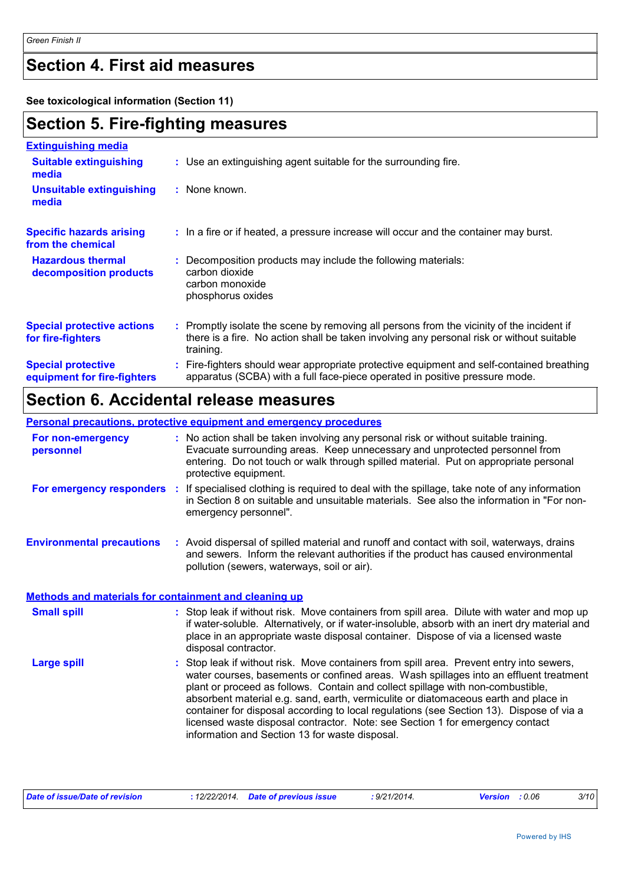### **Section 4. First aid measures**

**See toxicological information (Section 11)**

### **Section 5. Fire-fighting measures**

| <b>Extinguishing media</b>                               |                                                                                                                                                                                                     |
|----------------------------------------------------------|-----------------------------------------------------------------------------------------------------------------------------------------------------------------------------------------------------|
| <b>Suitable extinguishing</b><br>media                   | : Use an extinguishing agent suitable for the surrounding fire.                                                                                                                                     |
| <b>Unsuitable extinguishing</b><br>media                 | : None known.                                                                                                                                                                                       |
| <b>Specific hazards arising</b><br>from the chemical     | : In a fire or if heated, a pressure increase will occur and the container may burst.                                                                                                               |
| <b>Hazardous thermal</b><br>decomposition products       | Decomposition products may include the following materials:<br>carbon dioxide<br>carbon monoxide<br>phosphorus oxides                                                                               |
| <b>Special protective actions</b><br>for fire-fighters   | : Promptly isolate the scene by removing all persons from the vicinity of the incident if<br>there is a fire. No action shall be taken involving any personal risk or without suitable<br>training. |
| <b>Special protective</b><br>equipment for fire-fighters | Fire-fighters should wear appropriate protective equipment and self-contained breathing<br>apparatus (SCBA) with a full face-piece operated in positive pressure mode.                              |

### **Section 6. Accidental release measures**

|                                                              | <b>Personal precautions, protective equipment and emergency procedures</b>                                                                                                                                                                                                                                                                                                                                                                                                                                                                                                               |
|--------------------------------------------------------------|------------------------------------------------------------------------------------------------------------------------------------------------------------------------------------------------------------------------------------------------------------------------------------------------------------------------------------------------------------------------------------------------------------------------------------------------------------------------------------------------------------------------------------------------------------------------------------------|
| For non-emergency<br>personnel                               | : No action shall be taken involving any personal risk or without suitable training.<br>Evacuate surrounding areas. Keep unnecessary and unprotected personnel from<br>entering. Do not touch or walk through spilled material. Put on appropriate personal<br>protective equipment.                                                                                                                                                                                                                                                                                                     |
| For emergency responders :                                   | If specialised clothing is required to deal with the spillage, take note of any information<br>in Section 8 on suitable and unsuitable materials. See also the information in "For non-<br>emergency personnel".                                                                                                                                                                                                                                                                                                                                                                         |
| <b>Environmental precautions</b>                             | : Avoid dispersal of spilled material and runoff and contact with soil, waterways, drains<br>and sewers. Inform the relevant authorities if the product has caused environmental<br>pollution (sewers, waterways, soil or air).                                                                                                                                                                                                                                                                                                                                                          |
| <b>Methods and materials for containment and cleaning up</b> |                                                                                                                                                                                                                                                                                                                                                                                                                                                                                                                                                                                          |
| <b>Small spill</b>                                           | : Stop leak if without risk. Move containers from spill area. Dilute with water and mop up<br>if water-soluble. Alternatively, or if water-insoluble, absorb with an inert dry material and<br>place in an appropriate waste disposal container. Dispose of via a licensed waste<br>disposal contractor.                                                                                                                                                                                                                                                                                 |
| <b>Large spill</b>                                           | Stop leak if without risk. Move containers from spill area. Prevent entry into sewers,<br>water courses, basements or confined areas. Wash spillages into an effluent treatment<br>plant or proceed as follows. Contain and collect spillage with non-combustible,<br>absorbent material e.g. sand, earth, vermiculite or diatomaceous earth and place in<br>container for disposal according to local regulations (see Section 13). Dispose of via a<br>licensed waste disposal contractor. Note: see Section 1 for emergency contact<br>information and Section 13 for waste disposal. |

| Date of issue/Date of revision | : 12/22/2014. Date of previous issue | : 9/21/2014. | <b>Version</b> : 0.06 | 3/10 |
|--------------------------------|--------------------------------------|--------------|-----------------------|------|
|--------------------------------|--------------------------------------|--------------|-----------------------|------|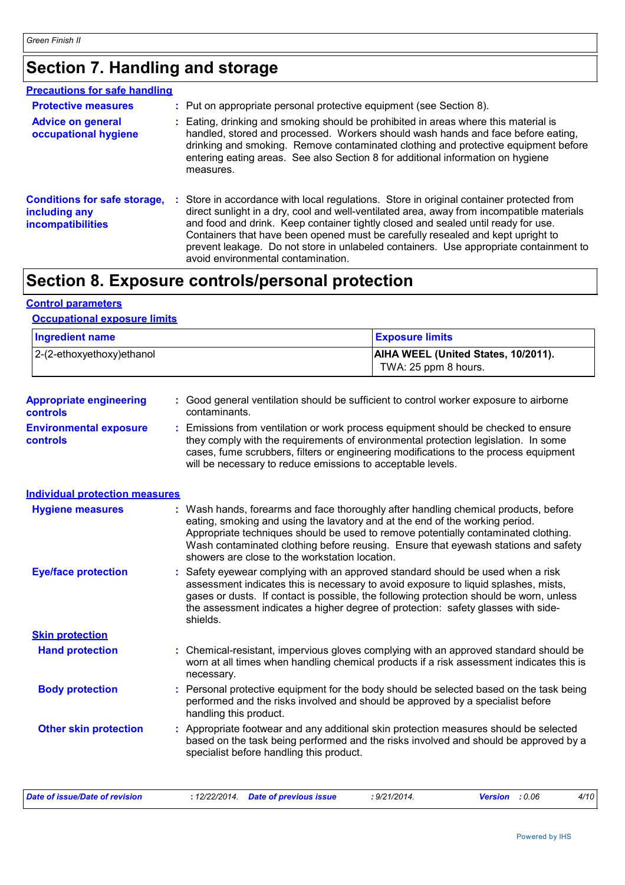### **Section 7. Handling and storage**

| <b>Precautions for safe handling</b>                                             |                                                                                                                                                                                                                                                                                                                                                                                                                                                                                              |
|----------------------------------------------------------------------------------|----------------------------------------------------------------------------------------------------------------------------------------------------------------------------------------------------------------------------------------------------------------------------------------------------------------------------------------------------------------------------------------------------------------------------------------------------------------------------------------------|
| <b>Protective measures</b>                                                       | : Put on appropriate personal protective equipment (see Section 8).                                                                                                                                                                                                                                                                                                                                                                                                                          |
| <b>Advice on general</b><br>occupational hygiene                                 | : Eating, drinking and smoking should be prohibited in areas where this material is<br>handled, stored and processed. Workers should wash hands and face before eating,<br>drinking and smoking. Remove contaminated clothing and protective equipment before<br>entering eating areas. See also Section 8 for additional information on hygiene<br>measures.                                                                                                                                |
| <b>Conditions for safe storage,</b><br>including any<br><b>incompatibilities</b> | : Store in accordance with local regulations. Store in original container protected from<br>direct sunlight in a dry, cool and well-ventilated area, away from incompatible materials<br>and food and drink. Keep container tightly closed and sealed until ready for use.<br>Containers that have been opened must be carefully resealed and kept upright to<br>prevent leakage. Do not store in unlabeled containers. Use appropriate containment to<br>avoid environmental contamination. |

### **Section 8. Exposure controls/personal protection**

#### **Control parameters**

#### **Occupational exposure limits**

| <b>Ingredient name</b>        | <b>Exposure limits</b>                     |
|-------------------------------|--------------------------------------------|
| $ 2-(2-ethoxyethoxy)e$ thanol | <b>AIHA WEEL (United States, 10/2011).</b> |
|                               | TWA: 25 ppm 8 hours.                       |

| <b>Appropriate engineering</b><br><b>controls</b> | : Good general ventilation should be sufficient to control worker exposure to airborne<br>contaminants. |
|---------------------------------------------------|---------------------------------------------------------------------------------------------------------|
| <b>Environmental exposure</b>                     | : Emissions from ventilation or work process equipment should be checked to ensure                      |

**controls** they comply with the requirements of environmental protection legislation. In some cases, fume scrubbers, filters or engineering modifications to the process equipment will be necessary to reduce emissions to acceptable levels.

#### **Individual protection measures**

| <b>Hygiene measures</b>      | : Wash hands, forearms and face thoroughly after handling chemical products, before<br>eating, smoking and using the lavatory and at the end of the working period.<br>Appropriate techniques should be used to remove potentially contaminated clothing.<br>Wash contaminated clothing before reusing. Ensure that eyewash stations and safety<br>showers are close to the workstation location. |
|------------------------------|---------------------------------------------------------------------------------------------------------------------------------------------------------------------------------------------------------------------------------------------------------------------------------------------------------------------------------------------------------------------------------------------------|
| <b>Eye/face protection</b>   | : Safety eyewear complying with an approved standard should be used when a risk<br>assessment indicates this is necessary to avoid exposure to liquid splashes, mists,<br>gases or dusts. If contact is possible, the following protection should be worn, unless<br>the assessment indicates a higher degree of protection: safety glasses with side-<br>shields.                                |
| <b>Skin protection</b>       |                                                                                                                                                                                                                                                                                                                                                                                                   |
| <b>Hand protection</b>       | : Chemical-resistant, impervious gloves complying with an approved standard should be<br>worn at all times when handling chemical products if a risk assessment indicates this is<br>necessary.                                                                                                                                                                                                   |
| <b>Body protection</b>       | : Personal protective equipment for the body should be selected based on the task being<br>performed and the risks involved and should be approved by a specialist before<br>handling this product.                                                                                                                                                                                               |
| <b>Other skin protection</b> | : Appropriate footwear and any additional skin protection measures should be selected<br>based on the task being performed and the risks involved and should be approved by a<br>specialist before handling this product.                                                                                                                                                                         |

| Date of issue/Date of revision | : 12/22/2014. Date of previous issue | : 9/21/2014. | <b>Version</b> : 0.06 | 4/10 |
|--------------------------------|--------------------------------------|--------------|-----------------------|------|
|--------------------------------|--------------------------------------|--------------|-----------------------|------|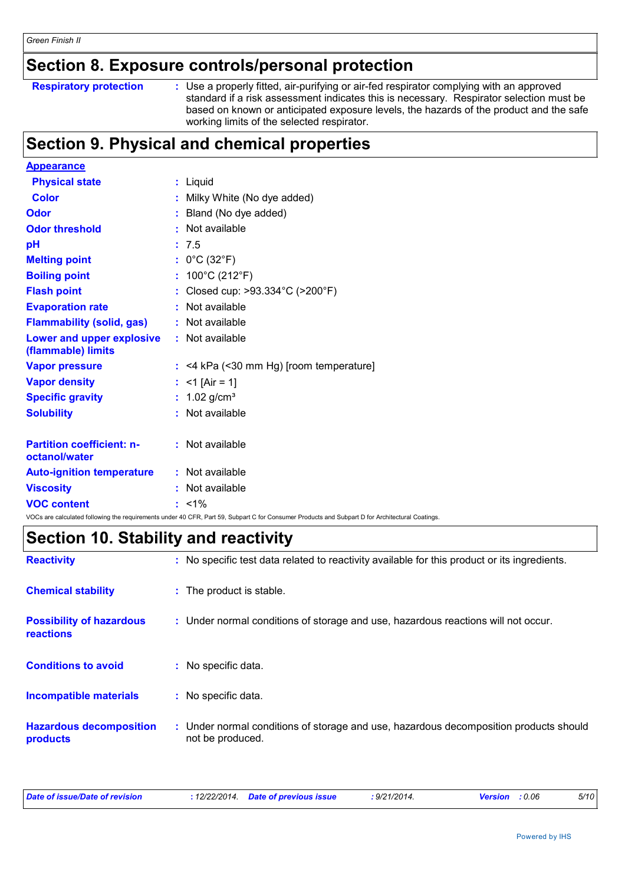### **Section 8. Exposure controls/personal protection**

|  | <b>Respiratory protection</b> |
|--|-------------------------------|

**Respiratory protection** : Use a properly fitted, air-purifying or air-fed respirator complying with an approved standard if a risk assessment indicates this is necessary. Respirator selection must be based on known or anticipated exposure levels, the hazards of the product and the safe working limits of the selected respirator.

## **Section 9. Physical and chemical properties**

| <b>Appearance</b>                                 |                                                                                                                                                 |  |
|---------------------------------------------------|-------------------------------------------------------------------------------------------------------------------------------------------------|--|
| <b>Physical state</b>                             | : Liquid                                                                                                                                        |  |
| <b>Color</b>                                      | Milky White (No dye added)                                                                                                                      |  |
| Odor                                              | Bland (No dye added)                                                                                                                            |  |
| <b>Odor threshold</b>                             | : Not available                                                                                                                                 |  |
| pH                                                | : 7.5                                                                                                                                           |  |
| <b>Melting point</b>                              | : $0^{\circ}$ C (32 $^{\circ}$ F)                                                                                                               |  |
| <b>Boiling point</b>                              | : $100^{\circ}$ C (212 $^{\circ}$ F)                                                                                                            |  |
| <b>Flash point</b>                                | : Closed cup: >93.334°C (>200°F)                                                                                                                |  |
| <b>Evaporation rate</b>                           | : Not available                                                                                                                                 |  |
| <b>Flammability (solid, gas)</b>                  | : Not available                                                                                                                                 |  |
| Lower and upper explosive<br>(flammable) limits   | : Not available                                                                                                                                 |  |
| <b>Vapor pressure</b>                             | $:$ <4 kPa (<30 mm Hg) [room temperature]                                                                                                       |  |
| <b>Vapor density</b>                              | : <1 [Air = 1]                                                                                                                                  |  |
| <b>Specific gravity</b>                           | : $1.02$ g/cm <sup>3</sup>                                                                                                                      |  |
| <b>Solubility</b>                                 | : Not available                                                                                                                                 |  |
| <b>Partition coefficient: n-</b><br>octanol/water | : Not available                                                                                                                                 |  |
| <b>Auto-ignition temperature</b>                  | : Not available                                                                                                                                 |  |
| <b>Viscosity</b>                                  | Not available                                                                                                                                   |  |
| <b>VOC content</b>                                | $: 1\%$                                                                                                                                         |  |
|                                                   | VOCs are calculated following the requirements under 40 CFR, Part 59, Subpart C for Consumer Products and Subpart D for Architectural Coatings. |  |

### **Section 10. Stability and reactivity**

| <b>Reactivity</b>                            | : No specific test data related to reactivity available for this product or its ingredients.              |  |
|----------------------------------------------|-----------------------------------------------------------------------------------------------------------|--|
| <b>Chemical stability</b>                    | : The product is stable.                                                                                  |  |
| <b>Possibility of hazardous</b><br>reactions | : Under normal conditions of storage and use, hazardous reactions will not occur.                         |  |
| <b>Conditions to avoid</b>                   | : No specific data.                                                                                       |  |
| <b>Incompatible materials</b>                | : No specific data.                                                                                       |  |
| <b>Hazardous decomposition</b><br>products   | : Under normal conditions of storage and use, hazardous decomposition products should<br>not be produced. |  |

|  | Date of issue/Date of revision |  | : 12/22/2014 Date of previous issue | : 9/21/2014. | <b>Version</b> : 0.06 |  | 5/10 |
|--|--------------------------------|--|-------------------------------------|--------------|-----------------------|--|------|
|--|--------------------------------|--|-------------------------------------|--------------|-----------------------|--|------|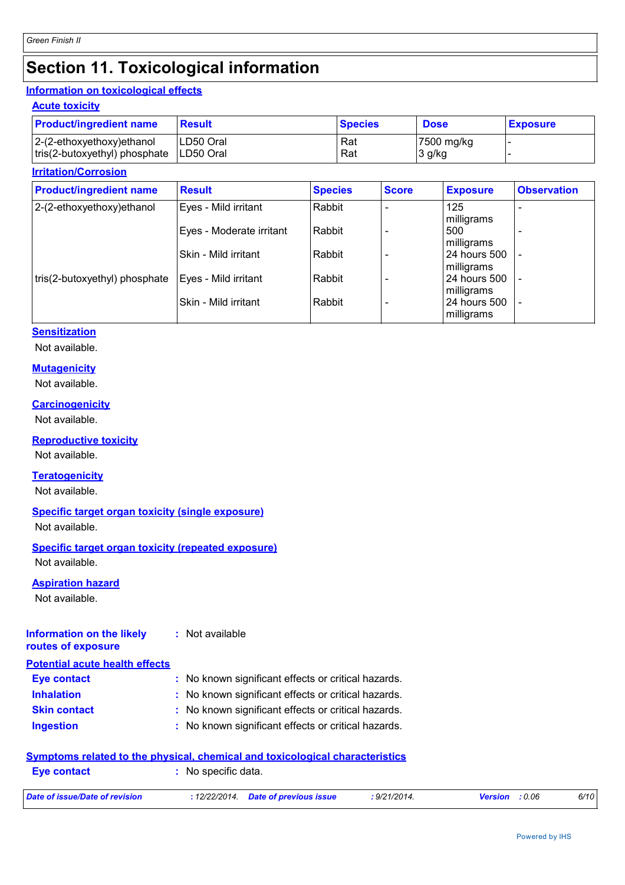### **Section 11. Toxicological information**

### **Information on toxicological effects**

### **Acute toxicity**

| <b>Product/ingredient name</b> | <b>Result</b> | <b>Species</b> | <b>Dose</b> | <b>Exposure</b> |
|--------------------------------|---------------|----------------|-------------|-----------------|
| $2-(2-ethoxyethoxy)ethanol$    | LD50 Oral     | Rat            | 7500 mg/kg  |                 |
| tris(2-butoxyethyl) phosphate  | ILD50 Oral    | Rat            | 3 g/kg      |                 |

#### **Irritation/Corrosion**

| <b>Product/ingredient name</b> | <b>Result</b>            | <b>Species</b> | <b>Score</b> | <b>Exposure</b>            | <b>Observation</b> |
|--------------------------------|--------------------------|----------------|--------------|----------------------------|--------------------|
| 2-(2-ethoxyethoxy) ethanol     | Eyes - Mild irritant     | Rabbit         |              | 125<br>milligrams          |                    |
|                                | Eyes - Moderate irritant | Rabbit         |              | 500<br>milligrams          |                    |
|                                | Skin - Mild irritant     | Rabbit         |              | 24 hours 500<br>milligrams |                    |
| tris(2-butoxyethyl) phosphate  | Eyes - Mild irritant     | Rabbit         |              | 24 hours 500<br>milligrams |                    |
|                                | Skin - Mild irritant     | Rabbit         |              | 24 hours 500<br>milligrams |                    |

#### **Sensitization**

Not available.

#### **Mutagenicity**

Not available.

**Carcinogenicity** Not available.

#### **Reproductive toxicity**

Not available.

#### **Teratogenicity**

Not available.

#### **Specific target organ toxicity (single exposure)**

Not available.

### **Specific target organ toxicity (repeated exposure)**

Not available.

#### **Aspiration hazard**

Not available.

#### **Information on the likely routes of exposure :** Not available

| <b>Potential acute health effects</b> |                                                     |
|---------------------------------------|-----------------------------------------------------|
| <b>Eye contact</b>                    | : No known significant effects or critical hazards. |
| <b>Inhalation</b>                     | : No known significant effects or critical hazards. |
| <b>Skin contact</b>                   | : No known significant effects or critical hazards. |
| <b>Ingestion</b>                      | : No known significant effects or critical hazards. |

#### **Symptoms related to the physical, chemical and toxicological characteristics**

| <b>Eve contact</b>             | No specific data.                    |              |                       |      |
|--------------------------------|--------------------------------------|--------------|-----------------------|------|
| Date of issue/Date of revision | : 12/22/2014. Date of previous issue | : 9/21/2014. | <b>Version</b> : 0.06 | 6/10 |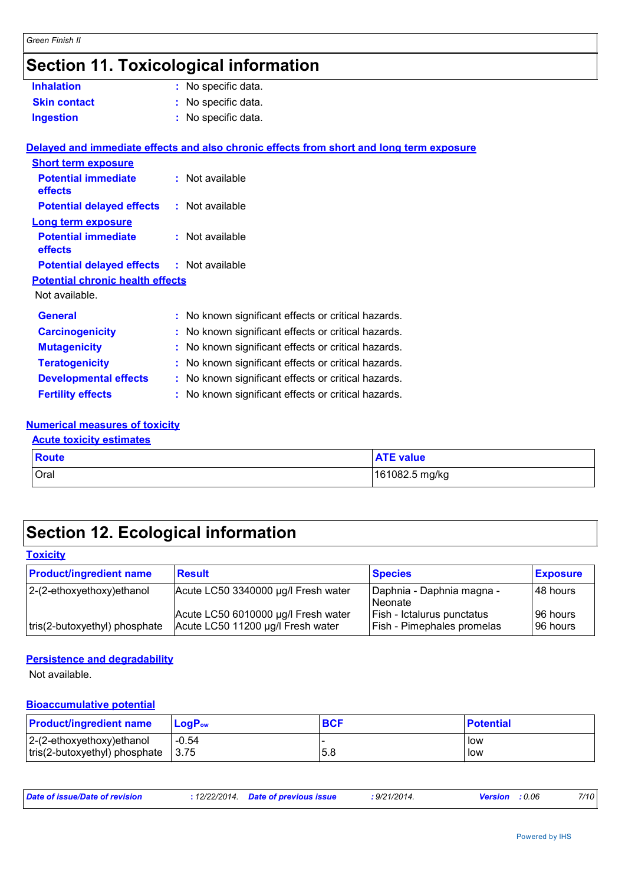## **Section 11. Toxicological information**

| <b>Inhalation</b>                                | : No specific data.                                                                      |
|--------------------------------------------------|------------------------------------------------------------------------------------------|
| <b>Skin contact</b>                              | : No specific data.                                                                      |
| <b>Ingestion</b>                                 | : No specific data.                                                                      |
|                                                  |                                                                                          |
|                                                  | Delayed and immediate effects and also chronic effects from short and long term exposure |
| <b>Short term exposure</b>                       |                                                                                          |
| <b>Potential immediate</b><br>effects            | : Not available                                                                          |
| <b>Potential delayed effects : Not available</b> |                                                                                          |
| <b>Long term exposure</b>                        |                                                                                          |
| <b>Potential immediate</b><br>effects            | : Not available                                                                          |
| <b>Potential delayed effects : Not available</b> |                                                                                          |
| <b>Potential chronic health effects</b>          |                                                                                          |
| Not available.                                   |                                                                                          |
| <b>General</b>                                   | : No known significant effects or critical hazards.                                      |
| <b>Carcinogenicity</b>                           | : No known significant effects or critical hazards.                                      |
|                                                  |                                                                                          |
| <b>Mutagenicity</b>                              | : No known significant effects or critical hazards.                                      |
| <b>Teratogenicity</b>                            | : No known significant effects or critical hazards.                                      |
| <b>Developmental effects</b>                     | : No known significant effects or critical hazards.                                      |
| <b>Fertility effects</b>                         | : No known significant effects or critical hazards.                                      |
|                                                  |                                                                                          |

## **Numerical measures of toxicity**

| <b>Acute toxicity estimates</b> |                  |  |  |  |
|---------------------------------|------------------|--|--|--|
| $\blacksquare$ Route            | <b>ATE value</b> |  |  |  |
| Oral                            | 161082.5 mg/kg   |  |  |  |

## **Section 12. Ecological information**

#### **Toxicity**

| <b>Product/ingredient name</b> | <b>Result</b>                       | <b>Species</b>             | <b>Exposure</b> |
|--------------------------------|-------------------------------------|----------------------------|-----------------|
| 2-(2-ethoxyethoxy) ethanol     | Acute LC50 3340000 µg/l Fresh water | Daphnia - Daphnia magna -  | 48 hours        |
|                                |                                     | <b>Neonate</b>             |                 |
|                                | Acute LC50 6010000 µg/l Fresh water | Fish - Ictalurus punctatus | 96 hours        |
| tris(2-butoxyethyl) phosphate  | Acute LC50 11200 µg/l Fresh water   | Fish - Pimephales promelas | l 96 hours      |

#### **Persistence and degradability**

Not available.

#### **Bioaccumulative potential**

| <b>Product/ingredient name</b> | $LoaPow$ | <b>BCF</b> | <b>Potential</b> |
|--------------------------------|----------|------------|------------------|
| $ 2-(2-ethoxyethoxy)ethanol$   | -0.54    | 5.8        | low              |
| tris(2-butoxyethyl) phosphate  | 3.75     |            | low              |

| Date of issue/Date of revision | 12/22/2014. | <b>Date of previous issue</b> | 9/21/2014 | : 0.06<br><b>Version</b> | 7/10 |
|--------------------------------|-------------|-------------------------------|-----------|--------------------------|------|
|                                |             |                               |           |                          |      |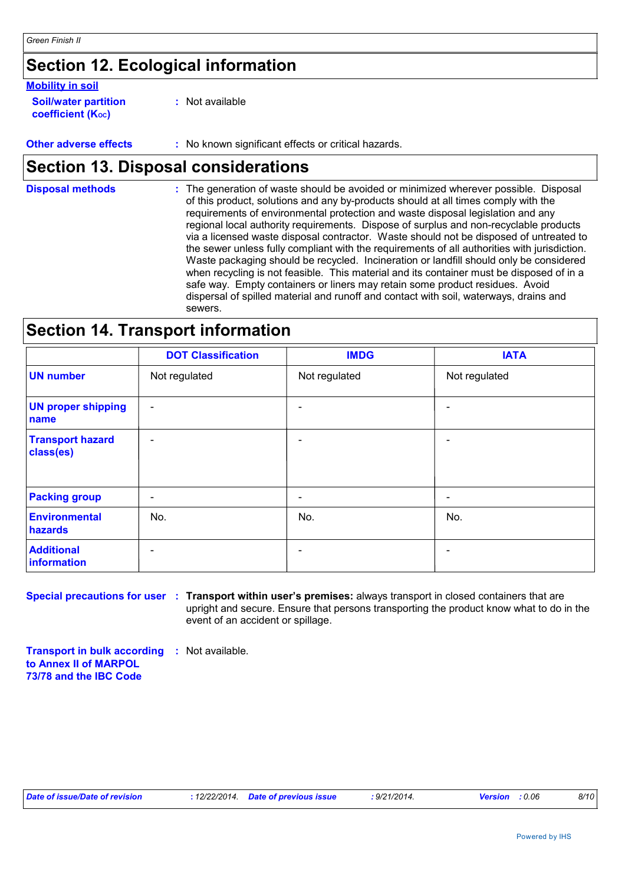### **Section 12. Ecological information**

#### **Mobility in soil**

| <b>Soil/water partition</b> |  |
|-----------------------------|--|
| <b>coefficient (Koc)</b>    |  |

**:** Not available

**Other adverse effects :** No known significant effects or critical hazards.

### **Section 13. Disposal considerations**

The generation of waste should be avoided or minimized wherever possible. Disposal of this product, solutions and any by-products should at all times comply with the requirements of environmental protection and waste disposal legislation and any regional local authority requirements. Dispose of surplus and non-recyclable products via a licensed waste disposal contractor. Waste should not be disposed of untreated to the sewer unless fully compliant with the requirements of all authorities with jurisdiction. Waste packaging should be recycled. Incineration or landfill should only be considered when recycling is not feasible. This material and its container must be disposed of in a safe way. Empty containers or liners may retain some product residues. Avoid dispersal of spilled material and runoff and contact with soil, waterways, drains and sewers. **Disposal methods :**

### **Section 14. Transport information**

|                                      | <b>DOT Classification</b> | <b>IMDG</b>   | <b>IATA</b>              |
|--------------------------------------|---------------------------|---------------|--------------------------|
| <b>UN number</b>                     | Not regulated             | Not regulated | Not regulated            |
| <b>UN proper shipping</b><br>name    | $\overline{\phantom{a}}$  |               |                          |
| <b>Transport hazard</b><br>class(es) | $\overline{\phantom{a}}$  |               | $\overline{\phantom{0}}$ |
| <b>Packing group</b>                 | $\overline{\phantom{a}}$  |               | -                        |
| Environmental<br>hazards             | No.                       | No.           | No.                      |
| <b>Additional</b><br>information     | $\overline{\phantom{a}}$  |               |                          |

**Special precautions for user : Transport within user's premises: always transport in closed containers that are** upright and secure. Ensure that persons transporting the product know what to do in the event of an accident or spillage.

**Transport in bulk according :** Not available. **to Annex II of MARPOL 73/78 and the IBC Code**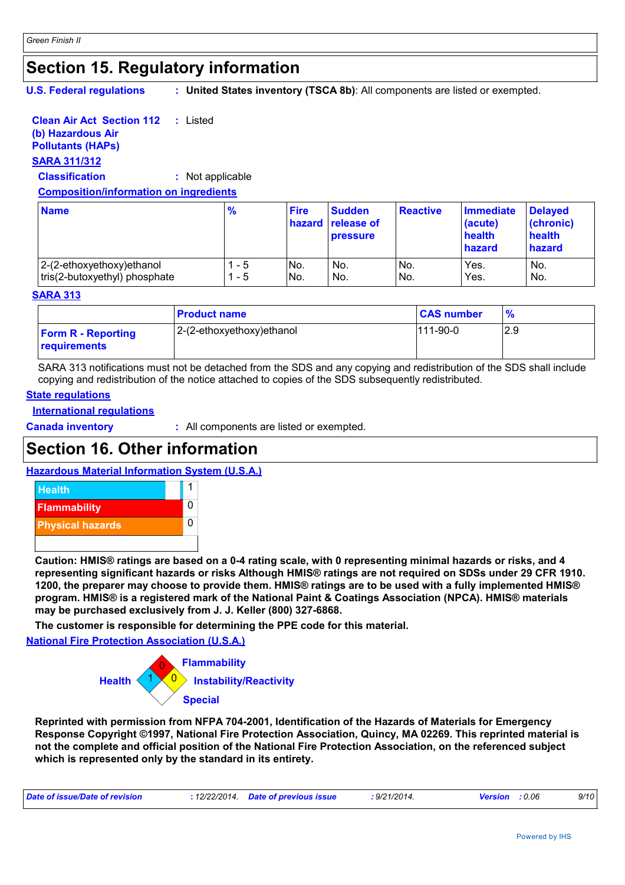### **Section 15. Regulatory information**

**U.S. Federal regulations :**

**United States inventory (TSCA 8b)**: All components are listed or exempted.

#### **Clean Air Act Section 112 :** Listed

### **(b) Hazardous Air**

**Pollutants (HAPs)**

### **SARA 311/312**

**Classification :** Not applicable

#### **Composition/information on ingredients**

| <b>Name</b>                   | $\frac{9}{6}$ | <b>Fire</b>     | <b>Sudden</b><br><b>hazard release of</b><br><b>pressure</b> | <b>Reactive</b> | Immediate<br>(acute)<br>health<br>hazard | <b>Delayed</b><br>(chronic)<br>health<br>hazard |
|-------------------------------|---------------|-----------------|--------------------------------------------------------------|-----------------|------------------------------------------|-------------------------------------------------|
| 2-(2-ethoxyethoxy) ethanol    | - 5           | IN <sub>o</sub> | No.                                                          | IN <sub>o</sub> | Yes.                                     | No.                                             |
| tris(2-butoxyethyl) phosphate | $-5$          | No.             | No.                                                          | No.             | Yes.                                     | No.                                             |

#### **SARA 313**

|                                           | <b>Product name</b>       | <b>CAS number</b> |     |
|-------------------------------------------|---------------------------|-------------------|-----|
| <b>Form R - Reporting</b><br>requirements | 2-(2-ethoxyethoxy)ethanol | $111-90-0$        | 2.9 |

SARA 313 notifications must not be detached from the SDS and any copying and redistribution of the SDS shall include copying and redistribution of the notice attached to copies of the SDS subsequently redistributed.

#### **State regulations**

**International regulations**

**Canada inventory :** All components are listed or exempted.

### **Section 16. Other information**

#### **Hazardous Material Information System (U.S.A.)**



**Caution: HMIS® ratings are based on a 0-4 rating scale, with 0 representing minimal hazards or risks, and 4 representing significant hazards or risks Although HMIS® ratings are not required on SDSs under 29 CFR 1910. 1200, the preparer may choose to provide them. HMIS® ratings are to be used with a fully implemented HMIS® program. HMIS® is a registered mark of the National Paint & Coatings Association (NPCA). HMIS® materials may be purchased exclusively from J. J. Keller (800) 327-6868.**

**The customer is responsible for determining the PPE code for this material.**

**National Fire Protection Association (U.S.A.)**



**Reprinted with permission from NFPA 704-2001, Identification of the Hazards of Materials for Emergency Response Copyright ©1997, National Fire Protection Association, Quincy, MA 02269. This reprinted material is not the complete and official position of the National Fire Protection Association, on the referenced subject which is represented only by the standard in its entirety.**

| : 12/22/2014. Date of previous issue | Date of issue/Date of revision |  |  | .9/21/2014. | : 0.06<br><b>Version</b> | 9/10 |
|--------------------------------------|--------------------------------|--|--|-------------|--------------------------|------|
|--------------------------------------|--------------------------------|--|--|-------------|--------------------------|------|